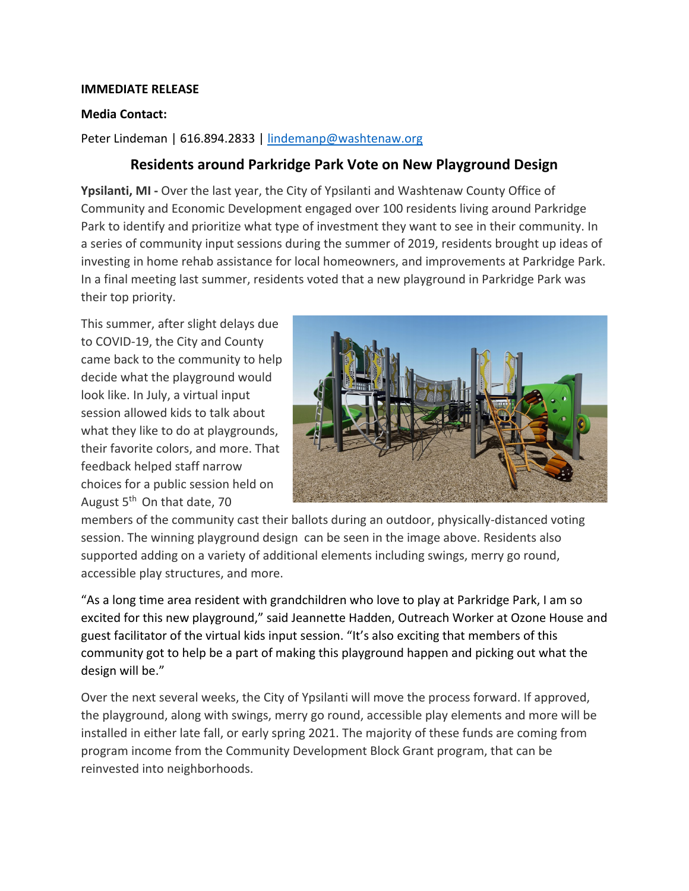## **IMMEDIATE RELEASE**

## **Media Contact:**

Peter Lindeman | 616.894.2833 | [lindemanp@washtenaw.org](mailto:lindemanp@washtenaw.org)

## **Residents around Parkridge Park Vote on New Playground Design**

**Ypsilanti, MI -** Over the last year, the City of Ypsilanti and Washtenaw County Office of Community and Economic Development engaged over 100 residents living around Parkridge Park to identify and prioritize what type of investment they want to see in their community. In a series of community input sessions during the summer of 2019, residents brought up ideas of investing in home rehab assistance for local homeowners, and improvements at Parkridge Park. In a final meeting last summer, residents voted that a new playground in Parkridge Park was their top priority.

This summer, after slight delays due to COVID-19, the City and County came back to the community to help decide what the playground would look like. In July, a virtual input session allowed kids to talk about what they like to do at playgrounds, their favorite colors, and more. That feedback helped staff narrow choices for a public session held on August 5<sup>th</sup> On that date, 70



members of the community cast their ballots during an outdoor, physically-distanced voting session. The winning playground design can be seen in the image above. Residents also supported adding on a variety of additional elements including swings, merry go round, accessible play structures, and more.

"As a long time area resident with grandchildren who love to play at Parkridge Park, I am so excited for this new playground," said Jeannette Hadden, Outreach Worker at Ozone House and guest facilitator of the virtual kids input session. "It's also exciting that members of this community got to help be a part of making this playground happen and picking out what the design will be."

Over the next several weeks, the City of Ypsilanti will move the process forward. If approved, the playground, along with swings, merry go round, accessible play elements and more will be installed in either late fall, or early spring 2021. The majority of these funds are coming from program income from the Community Development Block Grant program, that can be reinvested into neighborhoods.